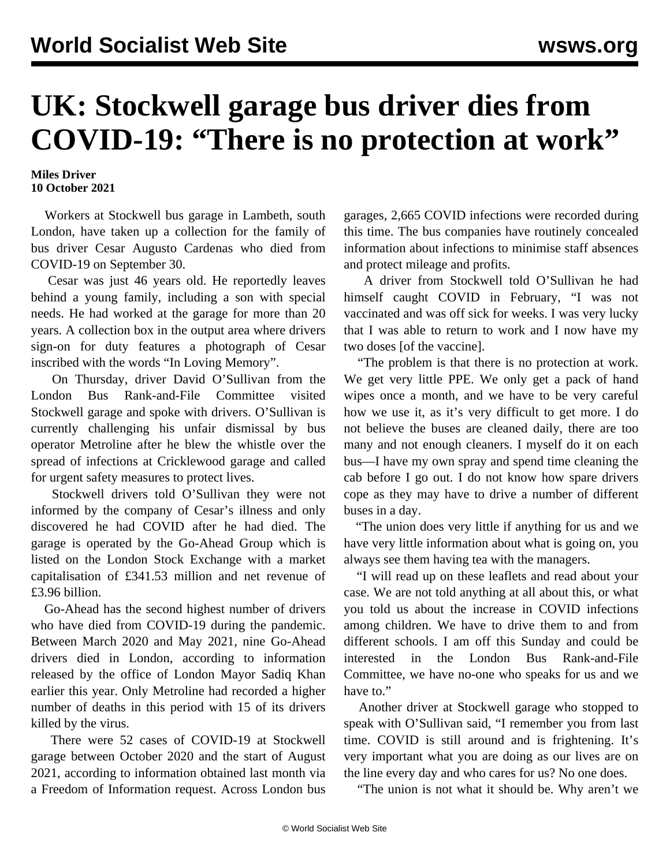## **UK: Stockwell garage bus driver dies from COVID-19: "There is no protection at work"**

## **Miles Driver 10 October 2021**

 Workers at Stockwell bus garage in Lambeth, south London, have taken up a collection for the family of bus driver Cesar Augusto Cardenas who died from COVID-19 on September 30.

 Cesar was just 46 years old. He reportedly leaves behind a young family, including a son with special needs. He had worked at the garage for more than 20 years. A collection box in the output area where drivers sign-on for duty features a photograph of Cesar inscribed with the words "In Loving Memory".

 On Thursday, driver David O'Sullivan from the London Bus Rank-and-File Committee visited Stockwell garage and spoke with drivers. O'Sullivan is currently challenging his unfair dismissal by bus operator Metroline after he blew the whistle over the spread of infections at Cricklewood garage and called for urgent safety measures to protect lives.

 Stockwell drivers told O'Sullivan they were not informed by the company of Cesar's illness and only discovered he had COVID after he had died. The garage is operated by the Go-Ahead Group which is listed on the London Stock Exchange with a market capitalisation of £341.53 million and net revenue of £3.96 billion.

 Go-Ahead has the second highest number of drivers who have died from COVID-19 during the pandemic. Between March 2020 and May 2021, nine Go-Ahead drivers died in London, according to information released by the office of London Mayor Sadiq Khan earlier this year. Only Metroline had recorded a higher number of deaths in this period with 15 of its drivers killed by the virus.

 There were 52 cases of COVID-19 at Stockwell garage between October 2020 and the start of August 2021, according to information obtained last month via a Freedom of Information request. Across London bus

garages, 2,665 COVID infections were recorded during this time. The bus companies have routinely concealed information about infections to minimise staff absences and protect mileage and profits.

 A driver from Stockwell told O'Sullivan he had himself caught COVID in February, "I was not vaccinated and was off sick for weeks. I was very lucky that I was able to return to work and I now have my two doses [of the vaccine].

 "The problem is that there is no protection at work. We get very little PPE. We only get a pack of hand wipes once a month, and we have to be very careful how we use it, as it's very difficult to get more. I do not believe the buses are cleaned daily, there are too many and not enough cleaners. I myself do it on each bus—I have my own spray and spend time cleaning the cab before I go out. I do not know how spare drivers cope as they may have to drive a number of different buses in a day.

 "The union does very little if anything for us and we have very little information about what is going on, you always see them having tea with the managers.

 "I will read up on these leaflets and read about your case. We are not told anything at all about this, or what you told us about the increase in COVID infections among children. We have to drive them to and from different schools. I am off this Sunday and could be interested in the London Bus Rank-and-File Committee, we have no-one who speaks for us and we have to."

 Another driver at Stockwell garage who stopped to speak with O'Sullivan said, "I remember you from last time. COVID is still around and is frightening. It's very important what you are doing as our lives are on the line every day and who cares for us? No one does.

"The union is not what it should be. Why aren't we